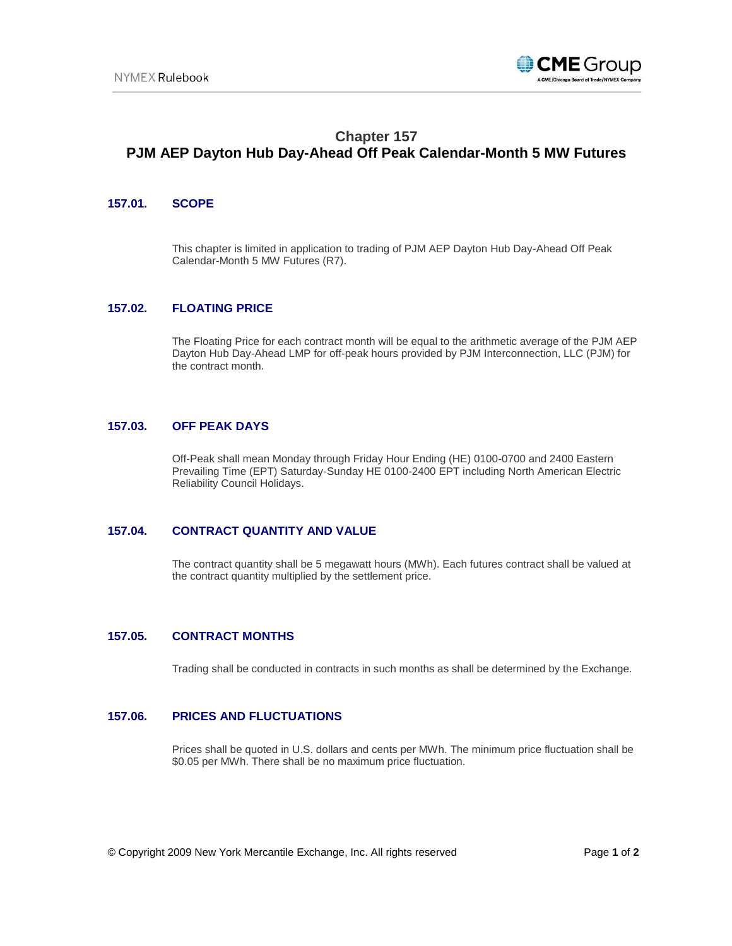

# **Chapter 157 PJM AEP Dayton Hub Day-Ahead Off Peak Calendar-Month 5 MW Futures**

#### **157.01. SCOPE**

This chapter is limited in application to trading of PJM AEP Dayton Hub Day-Ahead Off Peak Calendar-Month 5 MW Futures (R7).

### **157.02. FLOATING PRICE**

The Floating Price for each contract month will be equal to the arithmetic average of the PJM AEP Dayton Hub Day-Ahead LMP for off-peak hours provided by PJM Interconnection, LLC (PJM) for the contract month.

#### **157.03. OFF PEAK DAYS**

Off-Peak shall mean Monday through Friday Hour Ending (HE) 0100-0700 and 2400 Eastern Prevailing Time (EPT) Saturday-Sunday HE 0100-2400 EPT including North American Electric Reliability Council Holidays.

## **157.04. CONTRACT QUANTITY AND VALUE**

The contract quantity shall be 5 megawatt hours (MWh). Each futures contract shall be valued at the contract quantity multiplied by the settlement price.

#### **157.05. CONTRACT MONTHS**

Trading shall be conducted in contracts in such months as shall be determined by the Exchange.

## **157.06. PRICES AND FLUCTUATIONS**

Prices shall be quoted in U.S. dollars and cents per MWh. The minimum price fluctuation shall be \$0.05 per MWh. There shall be no maximum price fluctuation.